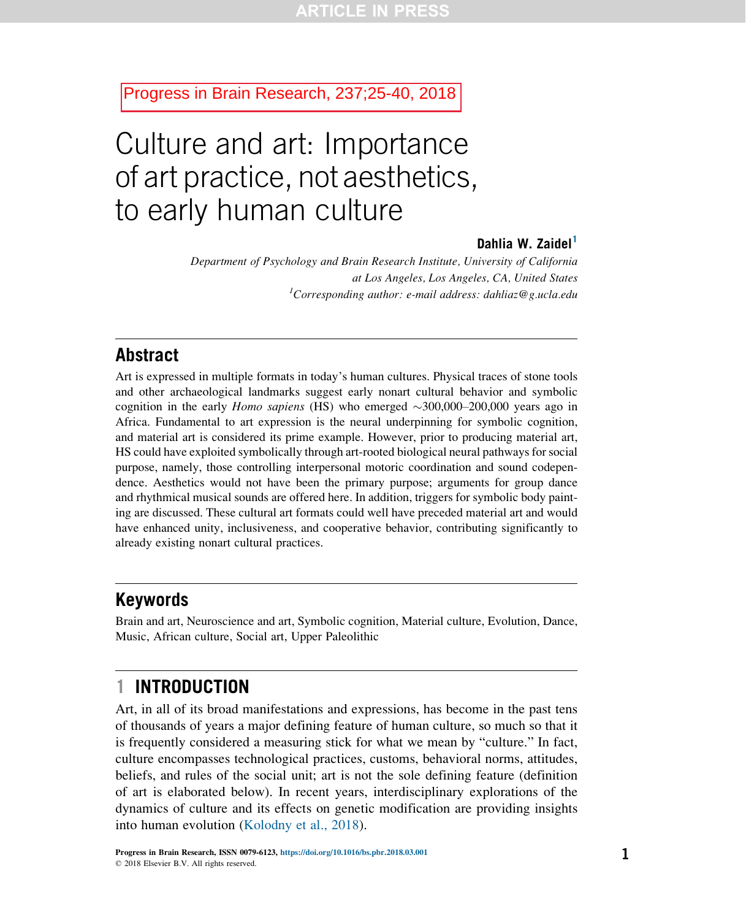# Progress in Brain Research, 237;25-40, 2018

# Culture and art: Importance of art practice, not aesthetics, to early human culture

#### Dahlia W. Zaidel<sup>1</sup>

Department of Psychology and Brain Research Institute, University of California at Los Angeles, Los Angeles, CA, United States  ${}^{1}$ Corresponding author: e-mail address: dahliaz@g.ucla.edu

## Abstract

Art is expressed in multiple formats in today's human cultures. Physical traces of stone tools and other archaeological landmarks suggest early nonart cultural behavior and symbolic cognition in the early *Homo sapiens* (HS) who emerged  $\sim$ 300,000–200,000 years ago in Africa. Fundamental to art expression is the neural underpinning for symbolic cognition, and material art is considered its prime example. However, prior to producing material art, HS could have exploited symbolically through art-rooted biological neural pathways for social purpose, namely, those controlling interpersonal motoric coordination and sound codependence. Aesthetics would not have been the primary purpose; arguments for group dance and rhythmical musical sounds are offered here. In addition, triggers for symbolic body painting are discussed. These cultural art formats could well have preceded material art and would have enhanced unity, inclusiveness, and cooperative behavior, contributing significantly to already existing nonart cultural practices.

# Keywords

Brain and art, Neuroscience and art, Symbolic cognition, Material culture, Evolution, Dance, Music, African culture, Social art, Upper Paleolithic

# 1 INTRODUCTION

Art, in all of its broad manifestations and expressions, has become in the past tens of thousands of years a major defining feature of human culture, so much so that it is frequently considered a measuring stick for what we mean by "culture." In fact, culture encompasses technological practices, customs, behavioral norms, attitudes, beliefs, and rules of the social unit; art is not the sole defining feature (definition of art is elaborated below). In recent years, interdisciplinary explorations of the dynamics of culture and its effects on genetic modification are providing insights into human evolution ([Kolodny et al., 2018](#page-12-0)).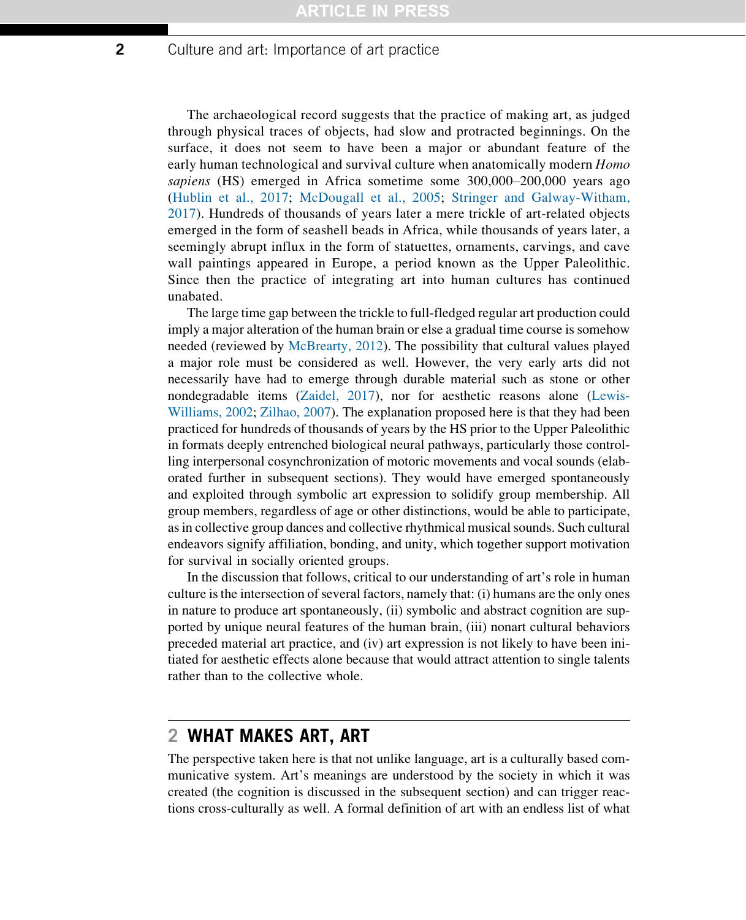The archaeological record suggests that the practice of making art, as judged through physical traces of objects, had slow and protracted beginnings. On the surface, it does not seem to have been a major or abundant feature of the early human technological and survival culture when anatomically modern Homo sapiens (HS) emerged in Africa sometime some 300,000–200,000 years ago ([Hublin et al., 2017](#page-12-0); [McDougall et al., 2005](#page-13-0); [Stringer and Galway-Witham,](#page-14-0) [2017](#page-14-0)). Hundreds of thousands of years later a mere trickle of art-related objects emerged in the form of seashell beads in Africa, while thousands of years later, a seemingly abrupt influx in the form of statuettes, ornaments, carvings, and cave wall paintings appeared in Europe, a period known as the Upper Paleolithic. Since then the practice of integrating art into human cultures has continued unabated.

The large time gap between the trickle to full-fledged regular art production could imply a major alteration of the human brain or else a gradual time course is somehow needed (reviewed by [McBrearty, 2012\)](#page-13-0). The possibility that cultural values played a major role must be considered as well. However, the very early arts did not necessarily have had to emerge through durable material such as stone or other nondegradable items ([Zaidel, 2017\)](#page-15-0), nor for aesthetic reasons alone ([Lewis-](#page-13-0)[Williams, 2002](#page-13-0); [Zilhao, 2007\)](#page-15-0). The explanation proposed here is that they had been practiced for hundreds of thousands of years by the HS prior to the Upper Paleolithic in formats deeply entrenched biological neural pathways, particularly those controlling interpersonal cosynchronization of motoric movements and vocal sounds (elaborated further in subsequent sections). They would have emerged spontaneously and exploited through symbolic art expression to solidify group membership. All group members, regardless of age or other distinctions, would be able to participate, as in collective group dances and collective rhythmical musical sounds. Such cultural endeavors signify affiliation, bonding, and unity, which together support motivation for survival in socially oriented groups.

In the discussion that follows, critical to our understanding of art's role in human culture is the intersection of several factors, namely that: (i) humans are the only ones in nature to produce art spontaneously, (ii) symbolic and abstract cognition are supported by unique neural features of the human brain, (iii) nonart cultural behaviors preceded material art practice, and (iv) art expression is not likely to have been initiated for aesthetic effects alone because that would attract attention to single talents rather than to the collective whole.

### 2 WHAT MAKES ART, ART

The perspective taken here is that not unlike language, art is a culturally based communicative system. Art's meanings are understood by the society in which it was created (the cognition is discussed in the subsequent section) and can trigger reactions cross-culturally as well. A formal definition of art with an endless list of what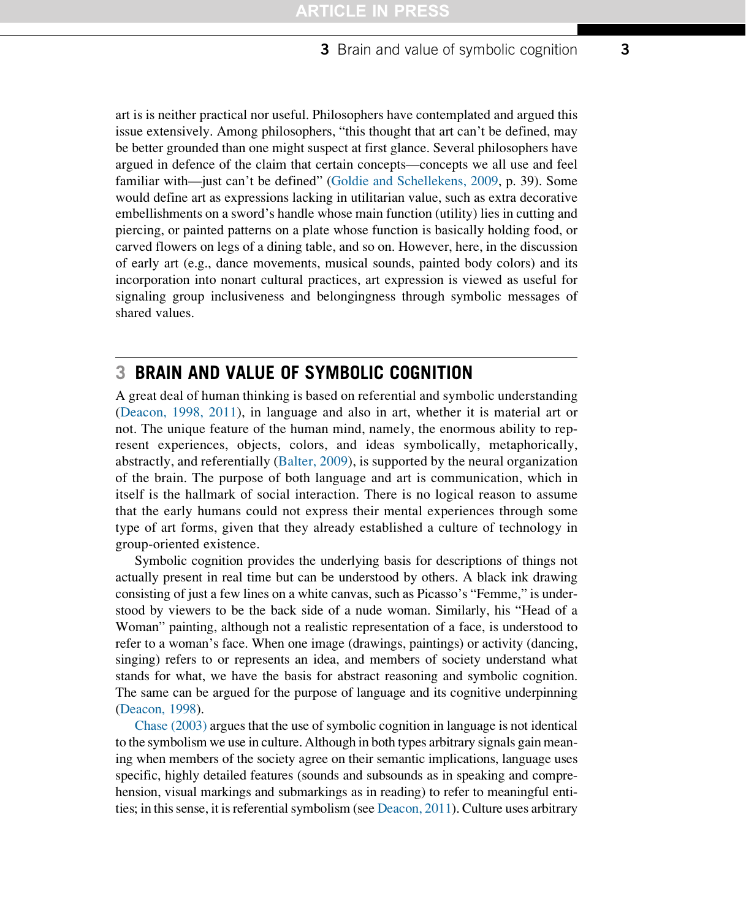**3** Brain and value of symbolic cognition **3** 

art is is neither practical nor useful. Philosophers have contemplated and argued this issue extensively. Among philosophers, "this thought that art can't be defined, may be better grounded than one might suspect at first glance. Several philosophers have argued in defence of the claim that certain concepts—concepts we all use and feel familiar with—just can't be defined" [\(Goldie and Schellekens, 2009,](#page-12-0) p. 39). Some would define art as expressions lacking in utilitarian value, such as extra decorative embellishments on a sword's handle whose main function (utility) lies in cutting and piercing, or painted patterns on a plate whose function is basically holding food, or carved flowers on legs of a dining table, and so on. However, here, in the discussion of early art (e.g., dance movements, musical sounds, painted body colors) and its incorporation into nonart cultural practices, art expression is viewed as useful for signaling group inclusiveness and belongingness through symbolic messages of shared values.

## 3 BRAIN AND VALUE OF SYMBOLIC COGNITION

A great deal of human thinking is based on referential and symbolic understanding ([Deacon, 1998, 2011\)](#page-11-0), in language and also in art, whether it is material art or not. The unique feature of the human mind, namely, the enormous ability to represent experiences, objects, colors, and ideas symbolically, metaphorically, abstractly, and referentially ([Balter, 2009\)](#page-10-0), is supported by the neural organization of the brain. The purpose of both language and art is communication, which in itself is the hallmark of social interaction. There is no logical reason to assume that the early humans could not express their mental experiences through some type of art forms, given that they already established a culture of technology in group-oriented existence.

Symbolic cognition provides the underlying basis for descriptions of things not actually present in real time but can be understood by others. A black ink drawing consisting of just a few lines on a white canvas, such as Picasso's "Femme," is understood by viewers to be the back side of a nude woman. Similarly, his "Head of a Woman" painting, although not a realistic representation of a face, is understood to refer to a woman's face. When one image (drawings, paintings) or activity (dancing, singing) refers to or represents an idea, and members of society understand what stands for what, we have the basis for abstract reasoning and symbolic cognition. The same can be argued for the purpose of language and its cognitive underpinning ([Deacon, 1998](#page-11-0)).

[Chase \(2003\)](#page-11-0) argues that the use of symbolic cognition in language is not identical to the symbolism we use in culture. Although in both types arbitrary signals gain meaning when members of the society agree on their semantic implications, language uses specific, highly detailed features (sounds and subsounds as in speaking and comprehension, visual markings and submarkings as in reading) to refer to meaningful entities; in this sense, it is referential symbolism (see [Deacon, 2011](#page-11-0)). Culture uses arbitrary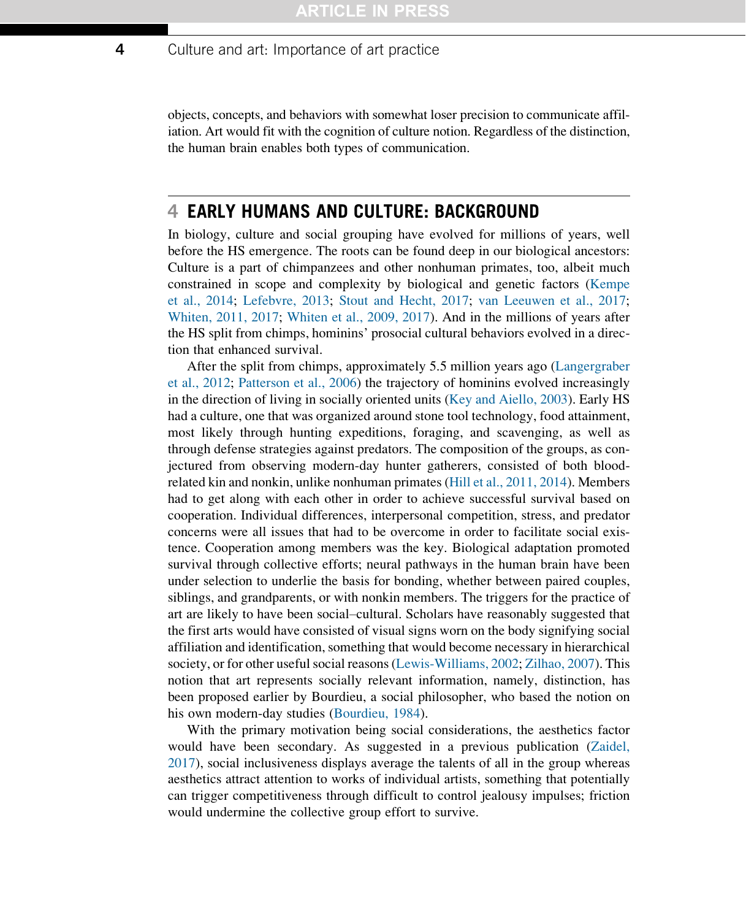objects, concepts, and behaviors with somewhat loser precision to communicate affiliation. Art would fit with the cognition of culture notion. Regardless of the distinction, the human brain enables both types of communication.

## 4 EARLY HUMANS AND CULTURE: BACKGROUND

In biology, culture and social grouping have evolved for millions of years, well before the HS emergence. The roots can be found deep in our biological ancestors: Culture is a part of chimpanzees and other nonhuman primates, too, albeit much constrained in scope and complexity by biological and genetic factors [\(Kempe](#page-12-0) [et al., 2014](#page-12-0); [Lefebvre, 2013;](#page-13-0) [Stout and Hecht, 2017;](#page-14-0) [van Leeuwen et al., 2017](#page-14-0); [Whiten, 2011, 2017](#page-14-0); [Whiten et al., 2009, 2017](#page-14-0)). And in the millions of years after the HS split from chimps, hominins' prosocial cultural behaviors evolved in a direction that enhanced survival.

After the split from chimps, approximately 5.5 million years ago [\(Langergraber](#page-12-0) [et al., 2012;](#page-12-0) [Patterson et al., 2006](#page-13-0)) the trajectory of hominins evolved increasingly in the direction of living in socially oriented units [\(Key and Aiello, 2003](#page-12-0)). Early HS had a culture, one that was organized around stone tool technology, food attainment, most likely through hunting expeditions, foraging, and scavenging, as well as through defense strategies against predators. The composition of the groups, as conjectured from observing modern-day hunter gatherers, consisted of both bloodrelated kin and nonkin, unlike nonhuman primates [\(Hill et al., 2011, 2014\)](#page-12-0). Members had to get along with each other in order to achieve successful survival based on cooperation. Individual differences, interpersonal competition, stress, and predator concerns were all issues that had to be overcome in order to facilitate social existence. Cooperation among members was the key. Biological adaptation promoted survival through collective efforts; neural pathways in the human brain have been under selection to underlie the basis for bonding, whether between paired couples, siblings, and grandparents, or with nonkin members. The triggers for the practice of art are likely to have been social–cultural. Scholars have reasonably suggested that the first arts would have consisted of visual signs worn on the body signifying social affiliation and identification, something that would become necessary in hierarchical society, or for other useful social reasons ([Lewis-Williams, 2002;](#page-13-0) [Zilhao, 2007\)](#page-15-0). This notion that art represents socially relevant information, namely, distinction, has been proposed earlier by Bourdieu, a social philosopher, who based the notion on his own modern-day studies ([Bourdieu, 1984](#page-10-0)).

With the primary motivation being social considerations, the aesthetics factor would have been secondary. As suggested in a previous publication [\(Zaidel,](#page-15-0) [2017\)](#page-15-0), social inclusiveness displays average the talents of all in the group whereas aesthetics attract attention to works of individual artists, something that potentially can trigger competitiveness through difficult to control jealousy impulses; friction would undermine the collective group effort to survive.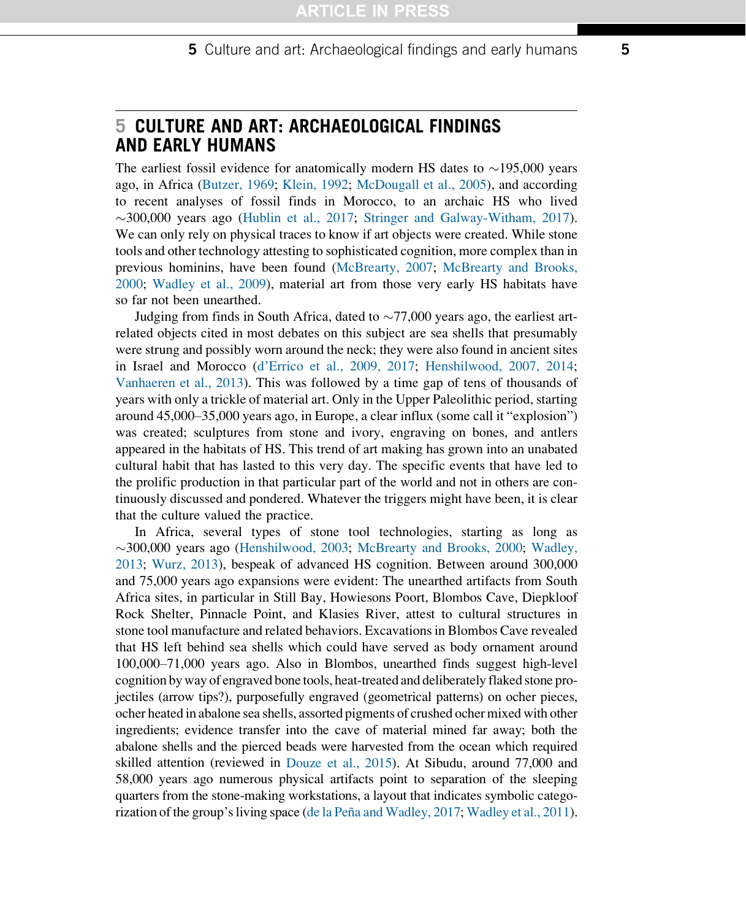# 5 CULTURE AND ART: ARCHAEOLOGICAL FINDINGS AND EARLY HUMANS

The earliest fossil evidence for anatomically modern HS dates to  $\sim$ 195,000 years ago, in Africa [\(Butzer, 1969;](#page-10-0) [Klein, 1992](#page-12-0); [McDougall et al., 2005\)](#page-13-0), and according to recent analyses of fossil finds in Morocco, to an archaic HS who lived  $\sim$ 300,000 years ago ([Hublin et al., 2017](#page-12-0); [Stringer and Galway-Witham, 2017\)](#page-14-0). We can only rely on physical traces to know if art objects were created. While stone tools and other technology attesting to sophisticated cognition, more complex than in previous hominins, have been found ([McBrearty, 2007;](#page-13-0) [McBrearty and Brooks,](#page-13-0) [2000;](#page-13-0) [Wadley et al., 2009\)](#page-14-0), material art from those very early HS habitats have so far not been unearthed.

Judging from finds in South Africa, dated to  $\sim$ 77,000 years ago, the earliest artrelated objects cited in most debates on this subject are sea shells that presumably were strung and possibly worn around the neck; they were also found in ancient sites in Israel and Morocco [\(d'Errico et al., 2009, 2017;](#page-11-0) [Henshilwood, 2007, 2014;](#page-12-0) [Vanhaeren et al., 2013](#page-14-0)). This was followed by a time gap of tens of thousands of years with only a trickle of material art. Only in the Upper Paleolithic period, starting around 45,000–35,000 years ago, in Europe, a clear influx (some call it "explosion") was created; sculptures from stone and ivory, engraving on bones, and antlers appeared in the habitats of HS. This trend of art making has grown into an unabated cultural habit that has lasted to this very day. The specific events that have led to the prolific production in that particular part of the world and not in others are continuously discussed and pondered. Whatever the triggers might have been, it is clear that the culture valued the practice.

In Africa, several types of stone tool technologies, starting as long as  $\sim$ 300,000 years ago [\(Henshilwood, 2003](#page-12-0); [McBrearty and Brooks, 2000](#page-13-0); [Wadley,](#page-14-0) [2013;](#page-14-0) [Wurz, 2013](#page-15-0)), bespeak of advanced HS cognition. Between around 300,000 and 75,000 years ago expansions were evident: The unearthed artifacts from South Africa sites, in particular in Still Bay, Howiesons Poort, Blombos Cave, Diepkloof Rock Shelter, Pinnacle Point, and Klasies River, attest to cultural structures in stone tool manufacture and related behaviors. Excavations in Blombos Cave revealed that HS left behind sea shells which could have served as body ornament around 100,000–71,000 years ago. Also in Blombos, unearthed finds suggest high-level cognition by way of engraved bone tools, heat-treated and deliberately flaked stone projectiles (arrow tips?), purposefully engraved (geometrical patterns) on ocher pieces, ocher heated in abalone sea shells, assorted pigments of crushed ocher mixed with other ingredients; evidence transfer into the cave of material mined far away; both the abalone shells and the pierced beads were harvested from the ocean which required skilled attention (reviewed in [Douze et al., 2015\)](#page-11-0). At Sibudu, around 77,000 and 58,000 years ago numerous physical artifacts point to separation of the sleeping quarters from the stone-making workstations, a layout that indicates symbolic catego-rization of the group's living space (de la Peña and Wadley, 2017; [Wadley et al., 2011\)](#page-14-0).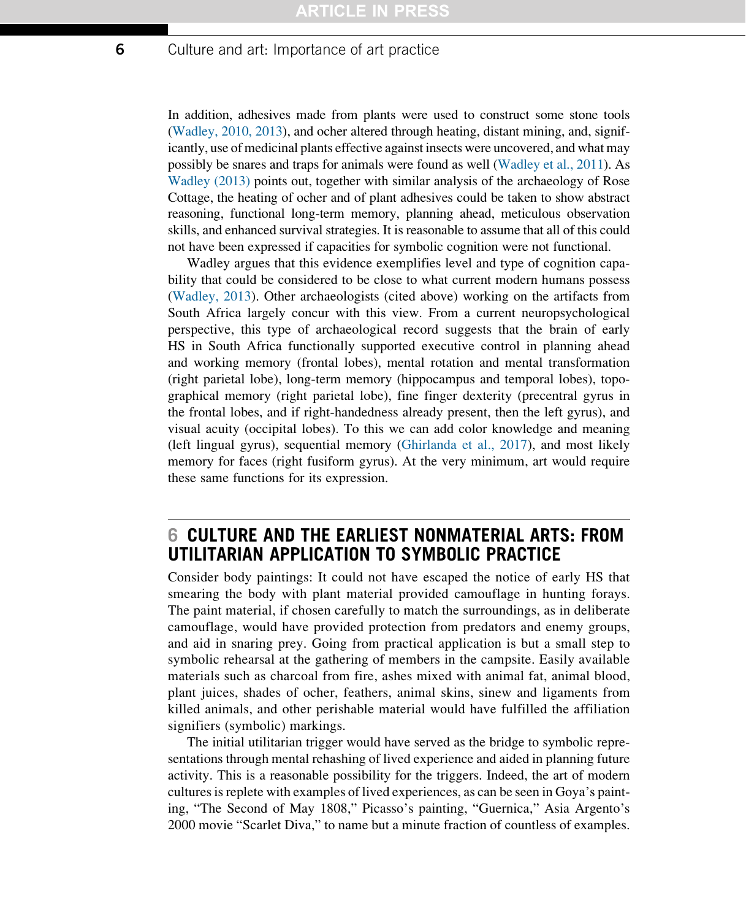In addition, adhesives made from plants were used to construct some stone tools ([Wadley, 2010, 2013\)](#page-14-0), and ocher altered through heating, distant mining, and, significantly, use of medicinal plants effective against insects were uncovered, and what may possibly be snares and traps for animals were found as well ([Wadley et al., 2011](#page-14-0)). As [Wadley \(2013\)](#page-14-0) points out, together with similar analysis of the archaeology of Rose Cottage, the heating of ocher and of plant adhesives could be taken to show abstract reasoning, functional long-term memory, planning ahead, meticulous observation skills, and enhanced survival strategies. It is reasonable to assume that all of this could not have been expressed if capacities for symbolic cognition were not functional.

Wadley argues that this evidence exemplifies level and type of cognition capability that could be considered to be close to what current modern humans possess ([Wadley, 2013\)](#page-14-0). Other archaeologists (cited above) working on the artifacts from South Africa largely concur with this view. From a current neuropsychological perspective, this type of archaeological record suggests that the brain of early HS in South Africa functionally supported executive control in planning ahead and working memory (frontal lobes), mental rotation and mental transformation (right parietal lobe), long-term memory (hippocampus and temporal lobes), topographical memory (right parietal lobe), fine finger dexterity (precentral gyrus in the frontal lobes, and if right-handedness already present, then the left gyrus), and visual acuity (occipital lobes). To this we can add color knowledge and meaning (left lingual gyrus), sequential memory ([Ghirlanda et al., 2017](#page-11-0)), and most likely memory for faces (right fusiform gyrus). At the very minimum, art would require these same functions for its expression.

## 6 CULTURE AND THE EARLIEST NONMATERIAL ARTS: FROM UTILITARIAN APPLICATION TO SYMBOLIC PRACTICE

Consider body paintings: It could not have escaped the notice of early HS that smearing the body with plant material provided camouflage in hunting forays. The paint material, if chosen carefully to match the surroundings, as in deliberate camouflage, would have provided protection from predators and enemy groups, and aid in snaring prey. Going from practical application is but a small step to symbolic rehearsal at the gathering of members in the campsite. Easily available materials such as charcoal from fire, ashes mixed with animal fat, animal blood, plant juices, shades of ocher, feathers, animal skins, sinew and ligaments from killed animals, and other perishable material would have fulfilled the affiliation signifiers (symbolic) markings.

The initial utilitarian trigger would have served as the bridge to symbolic representations through mental rehashing of lived experience and aided in planning future activity. This is a reasonable possibility for the triggers. Indeed, the art of modern cultures is replete with examples of lived experiences, as can be seen in Goya's painting, "The Second of May 1808," Picasso's painting, "Guernica," Asia Argento's 2000 movie "Scarlet Diva," to name but a minute fraction of countless of examples.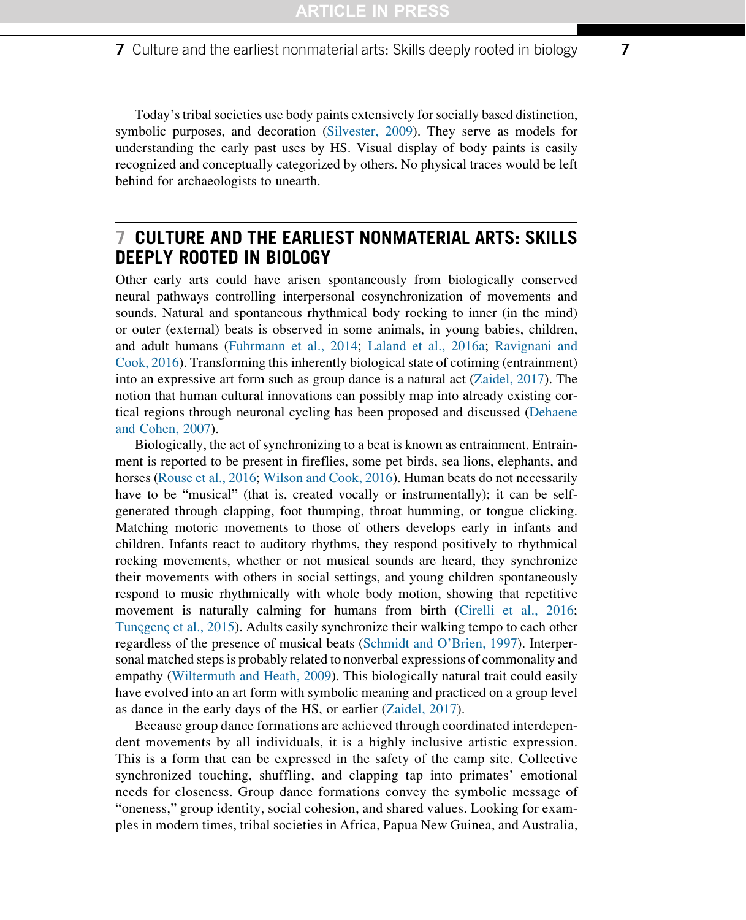Today's tribal societies use body paints extensively for socially based distinction, symbolic purposes, and decoration ([Silvester, 2009\)](#page-14-0). They serve as models for understanding the early past uses by HS. Visual display of body paints is easily recognized and conceptually categorized by others. No physical traces would be left behind for archaeologists to unearth.

# 7 CULTURE AND THE EARLIEST NONMATERIAL ARTS: SKILLS DEEPLY ROOTED IN BIOLOGY

Other early arts could have arisen spontaneously from biologically conserved neural pathways controlling interpersonal cosynchronization of movements and sounds. Natural and spontaneous rhythmical body rocking to inner (in the mind) or outer (external) beats is observed in some animals, in young babies, children, and adult humans ([Fuhrmann et al., 2014](#page-11-0); [Laland et al., 2016a](#page-12-0); [Ravignani and](#page-13-0) [Cook, 2016\)](#page-13-0). Transforming this inherently biological state of cotiming (entrainment) into an expressive art form such as group dance is a natural act [\(Zaidel, 2017](#page-15-0)). The notion that human cultural innovations can possibly map into already existing cortical regions through neuronal cycling has been proposed and discussed [\(Dehaene](#page-11-0) [and Cohen, 2007\)](#page-11-0).

Biologically, the act of synchronizing to a beat is known as entrainment. Entrainment is reported to be present in fireflies, some pet birds, sea lions, elephants, and horses ([Rouse et al., 2016;](#page-13-0) [Wilson and Cook, 2016](#page-14-0)). Human beats do not necessarily have to be "musical" (that is, created vocally or instrumentally); it can be selfgenerated through clapping, foot thumping, throat humming, or tongue clicking. Matching motoric movements to those of others develops early in infants and children. Infants react to auditory rhythms, they respond positively to rhythmical rocking movements, whether or not musical sounds are heard, they synchronize their movements with others in social settings, and young children spontaneously respond to music rhythmically with whole body motion, showing that repetitive movement is naturally calming for humans from birth ([Cirelli et al., 2016;](#page-11-0) [Tunc](#page-14-0)[genc](#page-14-0) [et al., 2015\)](#page-14-0). Adults easily synchronize their walking tempo to each other regardless of the presence of musical beats [\(Schmidt and O'Brien, 1997\)](#page-13-0). Interpersonal matched steps is probably related to nonverbal expressions of commonality and empathy [\(Wiltermuth and Heath, 2009](#page-14-0)). This biologically natural trait could easily have evolved into an art form with symbolic meaning and practiced on a group level as dance in the early days of the HS, or earlier ([Zaidel, 2017\)](#page-15-0).

Because group dance formations are achieved through coordinated interdependent movements by all individuals, it is a highly inclusive artistic expression. This is a form that can be expressed in the safety of the camp site. Collective synchronized touching, shuffling, and clapping tap into primates' emotional needs for closeness. Group dance formations convey the symbolic message of "oneness," group identity, social cohesion, and shared values. Looking for examples in modern times, tribal societies in Africa, Papua New Guinea, and Australia,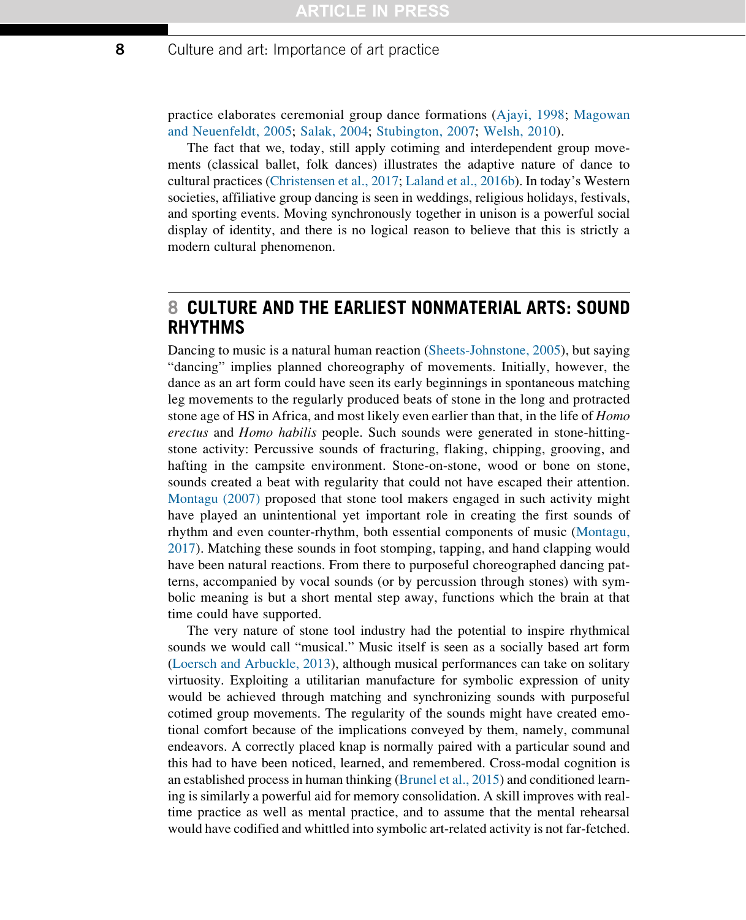practice elaborates ceremonial group dance formations ([Ajayi, 1998](#page-10-0); [Magowan](#page-13-0) [and Neuenfeldt, 2005;](#page-13-0) [Salak, 2004;](#page-13-0) [Stubington, 2007](#page-14-0); [Welsh, 2010\)](#page-14-0).

The fact that we, today, still apply cotiming and interdependent group movements (classical ballet, folk dances) illustrates the adaptive nature of dance to cultural practices ([Christensen et al., 2017;](#page-11-0) [Laland et al., 2016b\)](#page-12-0). In today's Western societies, affiliative group dancing is seen in weddings, religious holidays, festivals, and sporting events. Moving synchronously together in unison is a powerful social display of identity, and there is no logical reason to believe that this is strictly a modern cultural phenomenon.

## 8 CULTURE AND THE EARLIEST NONMATERIAL ARTS: SOUND RHYTHMS

Dancing to music is a natural human reaction ([Sheets-Johnstone, 2005](#page-14-0)), but saying "dancing" implies planned choreography of movements. Initially, however, the dance as an art form could have seen its early beginnings in spontaneous matching leg movements to the regularly produced beats of stone in the long and protracted stone age of HS in Africa, and most likely even earlier than that, in the life of *Homo* erectus and Homo habilis people. Such sounds were generated in stone-hittingstone activity: Percussive sounds of fracturing, flaking, chipping, grooving, and hafting in the campsite environment. Stone-on-stone, wood or bone on stone, sounds created a beat with regularity that could not have escaped their attention. [Montagu \(2007\)](#page-13-0) proposed that stone tool makers engaged in such activity might have played an unintentional yet important role in creating the first sounds of rhythm and even counter-rhythm, both essential components of music [\(Montagu,](#page-13-0) [2017\)](#page-13-0). Matching these sounds in foot stomping, tapping, and hand clapping would have been natural reactions. From there to purposeful choreographed dancing patterns, accompanied by vocal sounds (or by percussion through stones) with symbolic meaning is but a short mental step away, functions which the brain at that time could have supported.

The very nature of stone tool industry had the potential to inspire rhythmical sounds we would call "musical." Music itself is seen as a socially based art form ([Loersch and Arbuckle, 2013\)](#page-13-0), although musical performances can take on solitary virtuosity. Exploiting a utilitarian manufacture for symbolic expression of unity would be achieved through matching and synchronizing sounds with purposeful cotimed group movements. The regularity of the sounds might have created emotional comfort because of the implications conveyed by them, namely, communal endeavors. A correctly placed knap is normally paired with a particular sound and this had to have been noticed, learned, and remembered. Cross-modal cognition is an established process in human thinking [\(Brunel et al., 2015\)](#page-10-0) and conditioned learning is similarly a powerful aid for memory consolidation. A skill improves with realtime practice as well as mental practice, and to assume that the mental rehearsal would have codified and whittled into symbolic art-related activity is not far-fetched.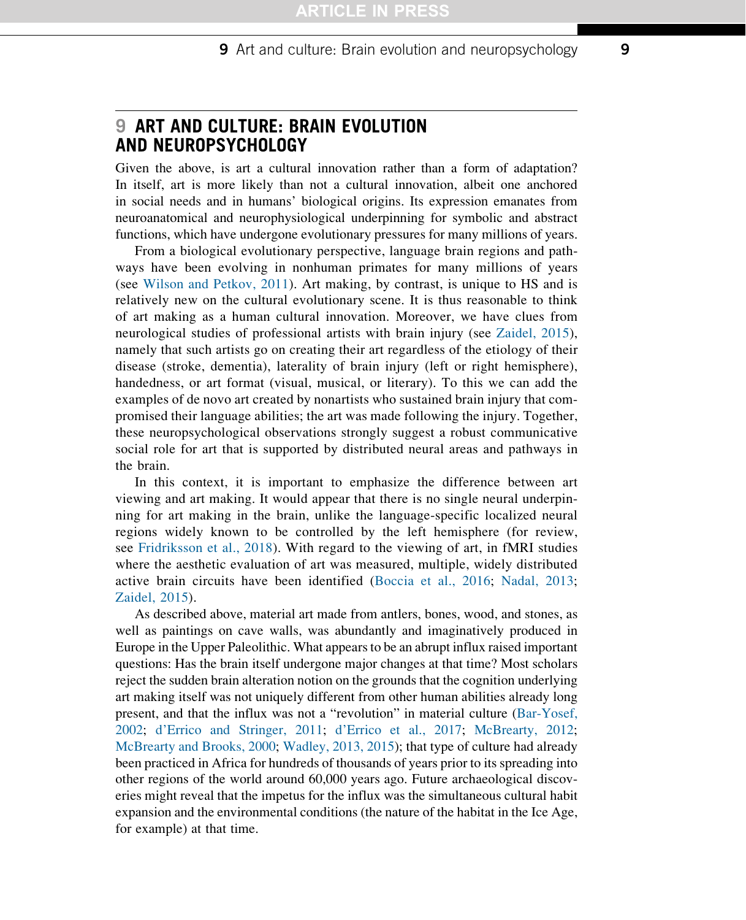# 9 ART AND CULTURE: BRAIN EVOLUTION AND NEUROPSYCHOLOGY

Given the above, is art a cultural innovation rather than a form of adaptation? In itself, art is more likely than not a cultural innovation, albeit one anchored in social needs and in humans' biological origins. Its expression emanates from neuroanatomical and neurophysiological underpinning for symbolic and abstract functions, which have undergone evolutionary pressures for many millions of years.

From a biological evolutionary perspective, language brain regions and pathways have been evolving in nonhuman primates for many millions of years (see [Wilson and Petkov, 2011](#page-14-0)). Art making, by contrast, is unique to HS and is relatively new on the cultural evolutionary scene. It is thus reasonable to think of art making as a human cultural innovation. Moreover, we have clues from neurological studies of professional artists with brain injury (see [Zaidel, 2015](#page-15-0)), namely that such artists go on creating their art regardless of the etiology of their disease (stroke, dementia), laterality of brain injury (left or right hemisphere), handedness, or art format (visual, musical, or literary). To this we can add the examples of de novo art created by nonartists who sustained brain injury that compromised their language abilities; the art was made following the injury. Together, these neuropsychological observations strongly suggest a robust communicative social role for art that is supported by distributed neural areas and pathways in the brain.

In this context, it is important to emphasize the difference between art viewing and art making. It would appear that there is no single neural underpinning for art making in the brain, unlike the language-specific localized neural regions widely known to be controlled by the left hemisphere (for review, see [Fridriksson et al., 2018\)](#page-11-0). With regard to the viewing of art, in fMRI studies where the aesthetic evaluation of art was measured, multiple, widely distributed active brain circuits have been identified [\(Boccia et al., 2016](#page-10-0); [Nadal, 2013;](#page-13-0) [Zaidel, 2015\)](#page-15-0).

As described above, material art made from antlers, bones, wood, and stones, as well as paintings on cave walls, was abundantly and imaginatively produced in Europe in the Upper Paleolithic. What appears to be an abrupt influx raised important questions: Has the brain itself undergone major changes at that time? Most scholars reject the sudden brain alteration notion on the grounds that the cognition underlying art making itself was not uniquely different from other human abilities already long present, and that the influx was not a "revolution" in material culture [\(Bar-Yosef,](#page-10-0) [2002;](#page-10-0) [d'Errico and Stringer, 2011;](#page-11-0) [d'Errico et al., 2017;](#page-11-0) [McBrearty, 2012;](#page-13-0) [McBrearty and Brooks, 2000;](#page-13-0) [Wadley, 2013, 2015\)](#page-14-0); that type of culture had already been practiced in Africa for hundreds of thousands of years prior to its spreading into other regions of the world around 60,000 years ago. Future archaeological discoveries might reveal that the impetus for the influx was the simultaneous cultural habit expansion and the environmental conditions (the nature of the habitat in the Ice Age, for example) at that time.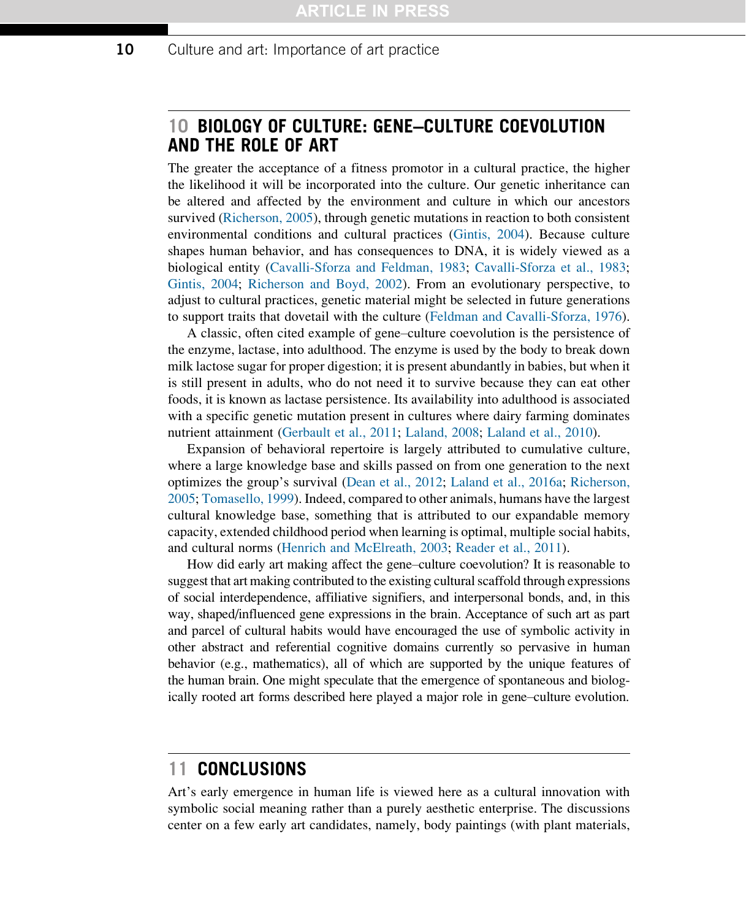## 10 BIOLOGY OF CULTURE: GENE–CULTURE COEVOLUTION AND THE ROLE OF ART

The greater the acceptance of a fitness promotor in a cultural practice, the higher the likelihood it will be incorporated into the culture. Our genetic inheritance can be altered and affected by the environment and culture in which our ancestors survived ([Richerson, 2005\)](#page-13-0), through genetic mutations in reaction to both consistent environmental conditions and cultural practices [\(Gintis, 2004\)](#page-12-0). Because culture shapes human behavior, and has consequences to DNA, it is widely viewed as a biological entity ([Cavalli-Sforza and Feldman, 1983](#page-10-0); [Cavalli-Sforza et al., 1983](#page-11-0); [Gintis, 2004;](#page-12-0) [Richerson and Boyd, 2002\)](#page-13-0). From an evolutionary perspective, to adjust to cultural practices, genetic material might be selected in future generations to support traits that dovetail with the culture [\(Feldman and Cavalli-Sforza, 1976](#page-11-0)).

A classic, often cited example of gene–culture coevolution is the persistence of the enzyme, lactase, into adulthood. The enzyme is used by the body to break down milk lactose sugar for proper digestion; it is present abundantly in babies, but when it is still present in adults, who do not need it to survive because they can eat other foods, it is known as lactase persistence. Its availability into adulthood is associated with a specific genetic mutation present in cultures where dairy farming dominates nutrient attainment [\(Gerbault et al., 2011;](#page-11-0) [Laland, 2008](#page-12-0); [Laland et al., 2010](#page-12-0)).

Expansion of behavioral repertoire is largely attributed to cumulative culture, where a large knowledge base and skills passed on from one generation to the next optimizes the group's survival ([Dean et al., 2012;](#page-11-0) [Laland et al., 2016a](#page-12-0); [Richerson,](#page-13-0) [2005;](#page-13-0) [Tomasello, 1999\)](#page-14-0). Indeed, compared to other animals, humans have the largest cultural knowledge base, something that is attributed to our expandable memory capacity, extended childhood period when learning is optimal, multiple social habits, and cultural norms ([Henrich and McElreath, 2003](#page-12-0); [Reader et al., 2011](#page-13-0)).

How did early art making affect the gene–culture coevolution? It is reasonable to suggest that art making contributed to the existing cultural scaffold through expressions of social interdependence, affiliative signifiers, and interpersonal bonds, and, in this way, shaped/influenced gene expressions in the brain. Acceptance of such art as part and parcel of cultural habits would have encouraged the use of symbolic activity in other abstract and referential cognitive domains currently so pervasive in human behavior (e.g., mathematics), all of which are supported by the unique features of the human brain. One might speculate that the emergence of spontaneous and biologically rooted art forms described here played a major role in gene–culture evolution.

# 11 CONCLUSIONS

Art's early emergence in human life is viewed here as a cultural innovation with symbolic social meaning rather than a purely aesthetic enterprise. The discussions center on a few early art candidates, namely, body paintings (with plant materials,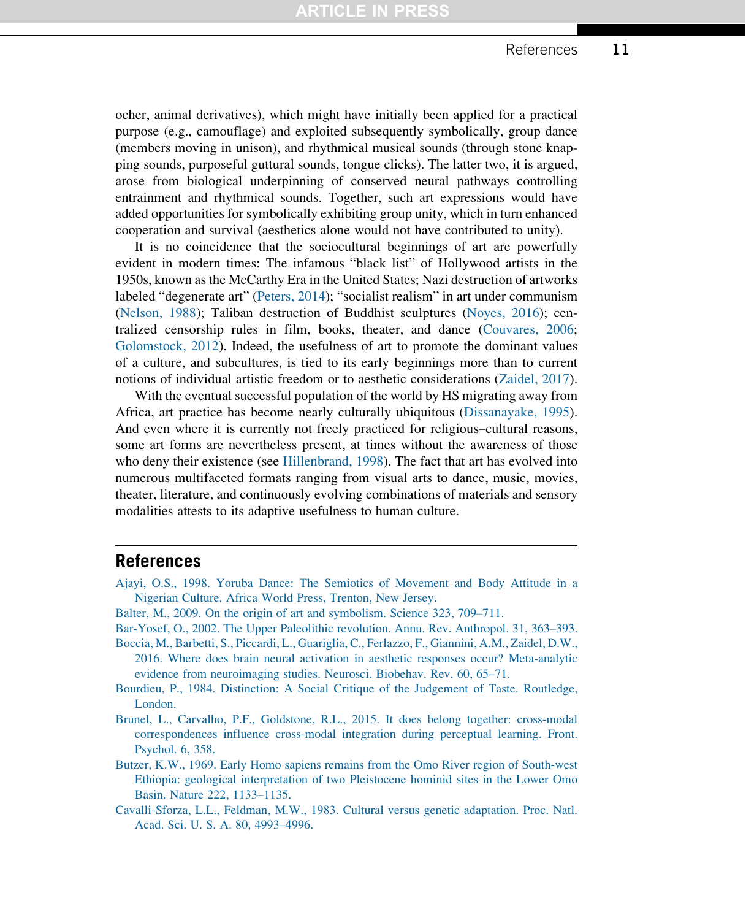<span id="page-10-0"></span>ocher, animal derivatives), which might have initially been applied for a practical purpose (e.g., camouflage) and exploited subsequently symbolically, group dance (members moving in unison), and rhythmical musical sounds (through stone knapping sounds, purposeful guttural sounds, tongue clicks). The latter two, it is argued, arose from biological underpinning of conserved neural pathways controlling entrainment and rhythmical sounds. Together, such art expressions would have added opportunities for symbolically exhibiting group unity, which in turn enhanced cooperation and survival (aesthetics alone would not have contributed to unity).

It is no coincidence that the sociocultural beginnings of art are powerfully evident in modern times: The infamous "black list" of Hollywood artists in the 1950s, known as the McCarthy Era in the United States; Nazi destruction of artworks labeled "degenerate art" [\(Peters, 2014\)](#page-13-0); "socialist realism" in art under communism ([Nelson, 1988](#page-13-0)); Taliban destruction of Buddhist sculptures [\(Noyes, 2016\)](#page-13-0); centralized censorship rules in film, books, theater, and dance ([Couvares, 2006;](#page-11-0) [Golomstock, 2012\)](#page-12-0). Indeed, the usefulness of art to promote the dominant values of a culture, and subcultures, is tied to its early beginnings more than to current notions of individual artistic freedom or to aesthetic considerations ([Zaidel, 2017\)](#page-15-0).

With the eventual successful population of the world by HS migrating away from Africa, art practice has become nearly culturally ubiquitous [\(Dissanayake, 1995\)](#page-11-0). And even where it is currently not freely practiced for religious–cultural reasons, some art forms are nevertheless present, at times without the awareness of those who deny their existence (see [Hillenbrand, 1998\)](#page-12-0). The fact that art has evolved into numerous multifaceted formats ranging from visual arts to dance, music, movies, theater, literature, and continuously evolving combinations of materials and sensory modalities attests to its adaptive usefulness to human culture.

#### References

[Ajayi, O.S., 1998. Yoruba Dance: The Semiotics of Movement and Body Attitude in a](http://refhub.elsevier.com/S0079-6123(18)30001-3/rf0010) [Nigerian Culture. Africa World Press, Trenton, New Jersey.](http://refhub.elsevier.com/S0079-6123(18)30001-3/rf0010)

[Balter, M., 2009. On the origin of art and symbolism. Science 323, 709](http://refhub.elsevier.com/S0079-6123(18)30001-3/rf0015)–711.

- [Bar-Yosef, O., 2002. The Upper Paleolithic revolution. Annu. Rev. Anthropol. 31, 363](http://refhub.elsevier.com/S0079-6123(18)30001-3/rf0020)–393.
- [Boccia, M., Barbetti, S., Piccardi, L., Guariglia, C., Ferlazzo, F., Giannini, A.M., Zaidel, D.W.,](http://refhub.elsevier.com/S0079-6123(18)30001-3/rf0025) [2016. Where does brain neural activation in aesthetic responses occur? Meta-analytic](http://refhub.elsevier.com/S0079-6123(18)30001-3/rf0025) [evidence from neuroimaging studies. Neurosci. Biobehav. Rev. 60, 65](http://refhub.elsevier.com/S0079-6123(18)30001-3/rf0025)–71.
- [Bourdieu, P., 1984. Distinction: A Social Critique of the Judgement of Taste. Routledge,](http://refhub.elsevier.com/S0079-6123(18)30001-3/rf0030) [London.](http://refhub.elsevier.com/S0079-6123(18)30001-3/rf0030)
- [Brunel, L., Carvalho, P.F., Goldstone, R.L., 2015. It does belong together: cross-modal](http://refhub.elsevier.com/S0079-6123(18)30001-3/rf0035) [correspondences influence cross-modal integration during perceptual learning. Front.](http://refhub.elsevier.com/S0079-6123(18)30001-3/rf0035) [Psychol. 6, 358.](http://refhub.elsevier.com/S0079-6123(18)30001-3/rf0035)
- [Butzer, K.W., 1969. Early Homo sapiens remains from the Omo River region of South-west](http://refhub.elsevier.com/S0079-6123(18)30001-3/rf0040) [Ethiopia: geological interpretation of two Pleistocene hominid sites in the Lower Omo](http://refhub.elsevier.com/S0079-6123(18)30001-3/rf0040) [Basin. Nature 222, 1133](http://refhub.elsevier.com/S0079-6123(18)30001-3/rf0040)–1135.
- [Cavalli-Sforza, L.L., Feldman, M.W., 1983. Cultural versus genetic adaptation. Proc. Natl.](http://refhub.elsevier.com/S0079-6123(18)30001-3/rf0045) [Acad. Sci. U. S. A. 80, 4993](http://refhub.elsevier.com/S0079-6123(18)30001-3/rf0045)–4996.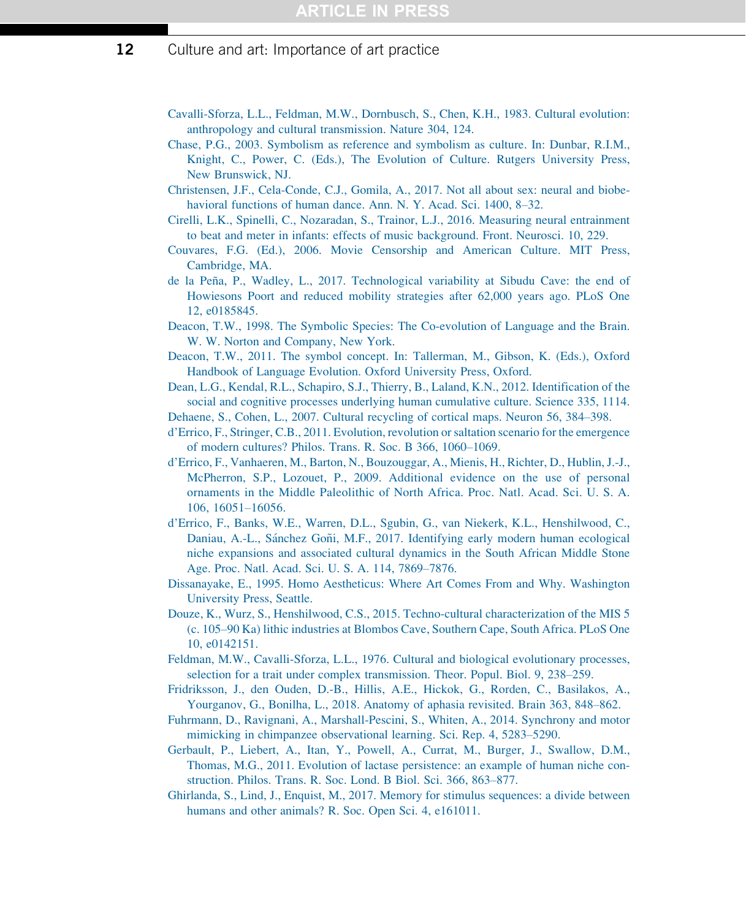<span id="page-11-0"></span>[Cavalli-Sforza, L.L., Feldman, M.W., Dornbusch, S., Chen, K.H., 1983. Cultural evolution:](http://refhub.elsevier.com/S0079-6123(18)30001-3/rf0050) [anthropology and cultural transmission. Nature 304, 124.](http://refhub.elsevier.com/S0079-6123(18)30001-3/rf0050)

- [Chase, P.G., 2003. Symbolism as reference and symbolism as culture. In: Dunbar, R.I.M.,](http://refhub.elsevier.com/S0079-6123(18)30001-3/rf0055) [Knight, C., Power, C. \(Eds.\), The Evolution of Culture. Rutgers University Press,](http://refhub.elsevier.com/S0079-6123(18)30001-3/rf0055) [New Brunswick, NJ.](http://refhub.elsevier.com/S0079-6123(18)30001-3/rf0055)
- [Christensen, J.F., Cela-Conde, C.J., Gomila, A., 2017. Not all about sex: neural and biobe](http://refhub.elsevier.com/S0079-6123(18)30001-3/rf0060)[havioral functions of human dance. Ann. N. Y. Acad. Sci. 1400, 8](http://refhub.elsevier.com/S0079-6123(18)30001-3/rf0060)–32.
- [Cirelli, L.K., Spinelli, C., Nozaradan, S., Trainor, L.J., 2016. Measuring neural entrainment](http://refhub.elsevier.com/S0079-6123(18)30001-3/rf0065) [to beat and meter in infants: effects of music background. Front. Neurosci. 10, 229.](http://refhub.elsevier.com/S0079-6123(18)30001-3/rf0065)
- [Couvares, F.G. \(Ed.\), 2006. Movie Censorship and American Culture. MIT Press,](http://refhub.elsevier.com/S0079-6123(18)30001-3/rf0070) [Cambridge, MA.](http://refhub.elsevier.com/S0079-6123(18)30001-3/rf0070)
- de la Peña, P., Wadley, L., 2017. Technological variability at Sibudu Cave: the end of [Howiesons Poort and reduced mobility strategies after 62,000 years ago. PLoS One](http://refhub.elsevier.com/S0079-6123(18)30001-3/rf0075) [12, e0185845.](http://refhub.elsevier.com/S0079-6123(18)30001-3/rf0075)
- [Deacon, T.W., 1998. The Symbolic Species: The Co-evolution of Language and the Brain.](http://refhub.elsevier.com/S0079-6123(18)30001-3/rf0080) [W. W. Norton and Company, New York.](http://refhub.elsevier.com/S0079-6123(18)30001-3/rf0080)
- [Deacon, T.W., 2011. The symbol concept. In: Tallerman, M., Gibson, K. \(Eds.\), Oxford](http://refhub.elsevier.com/S0079-6123(18)30001-3/rf0085) [Handbook of Language Evolution. Oxford University Press, Oxford.](http://refhub.elsevier.com/S0079-6123(18)30001-3/rf0085)
- [Dean, L.G., Kendal, R.L., Schapiro, S.J., Thierry, B., Laland, K.N., 2012. Identification of the](http://refhub.elsevier.com/S0079-6123(18)30001-3/rf0090) [social and cognitive processes underlying human cumulative culture. Science 335, 1114.](http://refhub.elsevier.com/S0079-6123(18)30001-3/rf0090) [Dehaene, S., Cohen, L., 2007. Cultural recycling of cortical maps. Neuron 56, 384](http://refhub.elsevier.com/S0079-6123(18)30001-3/rf0095)–398.
- [d'Errico, F., Stringer, C.B., 2011. Evolution, revolution or saltation scenario for the emergence](http://refhub.elsevier.com/S0079-6123(18)30001-3/rf0100) [of modern cultures? Philos. Trans. R. Soc. B 366, 1060](http://refhub.elsevier.com/S0079-6123(18)30001-3/rf0100)–1069.
- [d'Errico, F., Vanhaeren, M., Barton, N., Bouzouggar, A., Mienis, H., Richter, D., Hublin, J.-J.,](http://refhub.elsevier.com/S0079-6123(18)30001-3/rf0105) [McPherron, S.P., Lozouet, P., 2009. Additional evidence on the use of personal](http://refhub.elsevier.com/S0079-6123(18)30001-3/rf0105) [ornaments in the Middle Paleolithic of North Africa. Proc. Natl. Acad. Sci. U. S. A.](http://refhub.elsevier.com/S0079-6123(18)30001-3/rf0105) [106, 16051](http://refhub.elsevier.com/S0079-6123(18)30001-3/rf0105)–16056.
- [d'Errico, F., Banks, W.E., Warren, D.L., Sgubin, G., van Niekerk, K.L., Henshilwood, C.,](http://refhub.elsevier.com/S0079-6123(18)30001-3/rf0110) Daniau, A.-L., Sánchez Goñi, M.F., 2017. Identifying early modern human ecological [niche expansions and associated cultural dynamics in the South African Middle Stone](http://refhub.elsevier.com/S0079-6123(18)30001-3/rf0110) [Age. Proc. Natl. Acad. Sci. U. S. A. 114, 7869](http://refhub.elsevier.com/S0079-6123(18)30001-3/rf0110)–7876.
- [Dissanayake, E., 1995. Homo Aestheticus: Where Art Comes From and Why. Washington](http://refhub.elsevier.com/S0079-6123(18)30001-3/rf0115) [University Press, Seattle.](http://refhub.elsevier.com/S0079-6123(18)30001-3/rf0115)
- [Douze, K., Wurz, S., Henshilwood, C.S., 2015. Techno-cultural characterization of the MIS 5](http://refhub.elsevier.com/S0079-6123(18)30001-3/rf0120) (c. 105–[90 Ka\) lithic industries at Blombos Cave, Southern Cape, South Africa. PLoS One](http://refhub.elsevier.com/S0079-6123(18)30001-3/rf0120) [10, e0142151.](http://refhub.elsevier.com/S0079-6123(18)30001-3/rf0120)
- [Feldman, M.W., Cavalli-Sforza, L.L., 1976. Cultural and biological evolutionary processes,](http://refhub.elsevier.com/S0079-6123(18)30001-3/rf0125) [selection for a trait under complex transmission. Theor. Popul. Biol. 9, 238](http://refhub.elsevier.com/S0079-6123(18)30001-3/rf0125)–259.
- [Fridriksson, J., den Ouden, D.-B., Hillis, A.E., Hickok, G., Rorden, C., Basilakos, A.,](http://refhub.elsevier.com/S0079-6123(18)30001-3/rf0130) [Yourganov, G., Bonilha, L., 2018. Anatomy of aphasia revisited. Brain 363, 848](http://refhub.elsevier.com/S0079-6123(18)30001-3/rf0130)–862.
- [Fuhrmann, D., Ravignani, A., Marshall-Pescini, S., Whiten, A., 2014. Synchrony and motor](http://refhub.elsevier.com/S0079-6123(18)30001-3/rf0135) [mimicking in chimpanzee observational learning. Sci. Rep. 4, 5283](http://refhub.elsevier.com/S0079-6123(18)30001-3/rf0135)–5290.
- [Gerbault, P., Liebert, A., Itan, Y., Powell, A., Currat, M., Burger, J., Swallow, D.M.,](http://refhub.elsevier.com/S0079-6123(18)30001-3/rf0140) [Thomas, M.G., 2011. Evolution of lactase persistence: an example of human niche con](http://refhub.elsevier.com/S0079-6123(18)30001-3/rf0140)[struction. Philos. Trans. R. Soc. Lond. B Biol. Sci. 366, 863](http://refhub.elsevier.com/S0079-6123(18)30001-3/rf0140)–877.
- [Ghirlanda, S., Lind, J., Enquist, M., 2017. Memory for stimulus sequences: a divide between](http://refhub.elsevier.com/S0079-6123(18)30001-3/rf0145) [humans and other animals? R. Soc. Open Sci. 4, e161011.](http://refhub.elsevier.com/S0079-6123(18)30001-3/rf0145)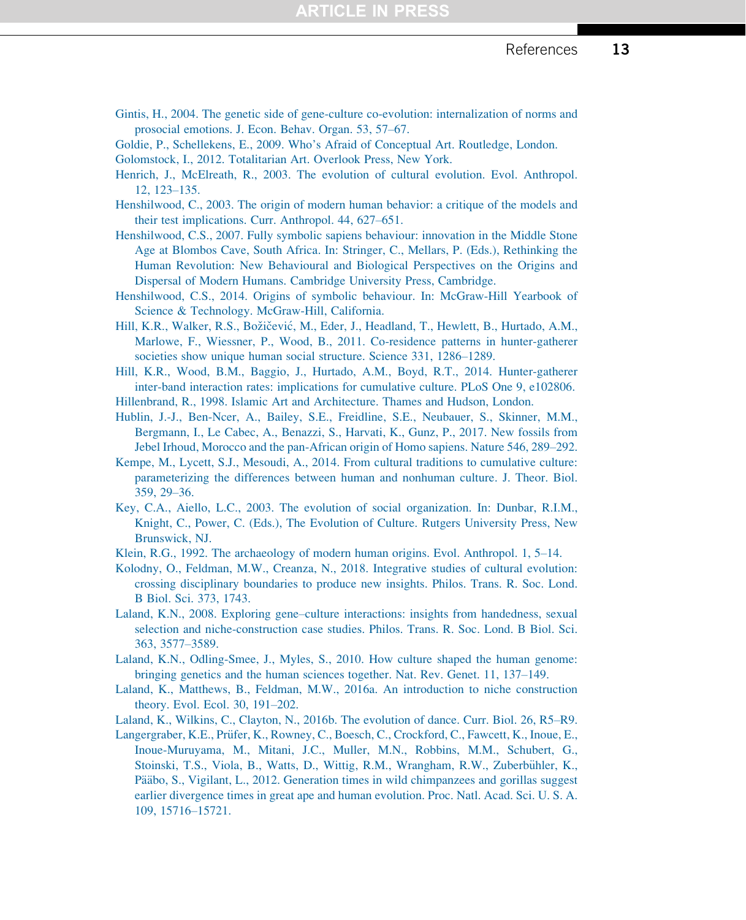<span id="page-12-0"></span>[Gintis, H., 2004. The genetic side of gene-culture co-evolution: internalization of norms and](http://refhub.elsevier.com/S0079-6123(18)30001-3/rf0150) [prosocial emotions. J. Econ. Behav. Organ. 53, 57](http://refhub.elsevier.com/S0079-6123(18)30001-3/rf0150)–67.

[Goldie, P., Schellekens, E., 2009. Who's Afraid of Conceptual Art. Routledge, London.](http://refhub.elsevier.com/S0079-6123(18)30001-3/rf0155)

[Golomstock, I., 2012. Totalitarian Art. Overlook Press, New York.](http://refhub.elsevier.com/S0079-6123(18)30001-3/rf0160)

- [Henrich, J., McElreath, R., 2003. The evolution of cultural evolution. Evol. Anthropol.](http://refhub.elsevier.com/S0079-6123(18)30001-3/rf0165) [12, 123](http://refhub.elsevier.com/S0079-6123(18)30001-3/rf0165)–135.
- [Henshilwood, C., 2003. The origin of modern human behavior: a critique of the models and](http://refhub.elsevier.com/S0079-6123(18)30001-3/rf0170) [their test implications. Curr. Anthropol. 44, 627](http://refhub.elsevier.com/S0079-6123(18)30001-3/rf0170)–651.
- [Henshilwood, C.S., 2007. Fully symbolic sapiens behaviour: innovation in the Middle Stone](http://refhub.elsevier.com/S0079-6123(18)30001-3/rf0175) [Age at Blombos Cave, South Africa. In: Stringer, C., Mellars, P. \(Eds.\), Rethinking the](http://refhub.elsevier.com/S0079-6123(18)30001-3/rf0175) [Human Revolution: New Behavioural and Biological Perspectives on the Origins and](http://refhub.elsevier.com/S0079-6123(18)30001-3/rf0175) [Dispersal of Modern Humans. Cambridge University Press, Cambridge.](http://refhub.elsevier.com/S0079-6123(18)30001-3/rf0175)
- [Henshilwood, C.S., 2014. Origins of symbolic behaviour. In: McGraw-Hill Yearbook of](http://refhub.elsevier.com/S0079-6123(18)30001-3/rf0180) [Science & Technology. McGraw-Hill, California.](http://refhub.elsevier.com/S0079-6123(18)30001-3/rf0180)
- Hill, K.R., Walker, R.S., Božičević, M., Eder, J., Headland, T., Hewlett, B., Hurtado, A.M., [Marlowe, F., Wiessner, P., Wood, B., 2011. Co-residence patterns in hunter-gatherer](http://refhub.elsevier.com/S0079-6123(18)30001-3/rf0185) [societies show unique human social structure. Science 331, 1286](http://refhub.elsevier.com/S0079-6123(18)30001-3/rf0185)–1289.
- [Hill, K.R., Wood, B.M., Baggio, J., Hurtado, A.M., Boyd, R.T., 2014. Hunter-gatherer](http://refhub.elsevier.com/S0079-6123(18)30001-3/rf0190) [inter-band interaction rates: implications for cumulative culture. PLoS One 9, e102806.](http://refhub.elsevier.com/S0079-6123(18)30001-3/rf0190)
- [Hillenbrand, R., 1998. Islamic Art and Architecture. Thames and Hudson, London.](http://refhub.elsevier.com/S0079-6123(18)30001-3/rf0195)
- [Hublin, J.-J., Ben-Ncer, A., Bailey, S.E., Freidline, S.E., Neubauer, S., Skinner, M.M.,](http://refhub.elsevier.com/S0079-6123(18)30001-3/rf0200) [Bergmann, I., Le Cabec, A., Benazzi, S., Harvati, K., Gunz, P., 2017. New fossils from](http://refhub.elsevier.com/S0079-6123(18)30001-3/rf0200) [Jebel Irhoud, Morocco and the pan-African origin of Homo sapiens. Nature 546, 289](http://refhub.elsevier.com/S0079-6123(18)30001-3/rf0200)–292.
- [Kempe, M., Lycett, S.J., Mesoudi, A., 2014. From cultural traditions to cumulative culture:](http://refhub.elsevier.com/S0079-6123(18)30001-3/rf0205) [parameterizing the differences between human and nonhuman culture. J. Theor. Biol.](http://refhub.elsevier.com/S0079-6123(18)30001-3/rf0205) [359, 29](http://refhub.elsevier.com/S0079-6123(18)30001-3/rf0205)–36.
- [Key, C.A., Aiello, L.C., 2003. The evolution of social organization. In: Dunbar, R.I.M.,](http://refhub.elsevier.com/S0079-6123(18)30001-3/rf0210) [Knight, C., Power, C. \(Eds.\), The Evolution of Culture. Rutgers University Press, New](http://refhub.elsevier.com/S0079-6123(18)30001-3/rf0210) [Brunswick, NJ.](http://refhub.elsevier.com/S0079-6123(18)30001-3/rf0210)
- [Klein, R.G., 1992. The archaeology of modern human origins. Evol. Anthropol. 1, 5](http://refhub.elsevier.com/S0079-6123(18)30001-3/rf0215)–14.
- [Kolodny, O., Feldman, M.W., Creanza, N., 2018. Integrative studies of cultural evolution:](http://refhub.elsevier.com/S0079-6123(18)30001-3/rf0220) [crossing disciplinary boundaries to produce new insights. Philos. Trans. R. Soc. Lond.](http://refhub.elsevier.com/S0079-6123(18)30001-3/rf0220) [B Biol. Sci. 373, 1743.](http://refhub.elsevier.com/S0079-6123(18)30001-3/rf0220)
- Laland, K.N., 2008. Exploring gene–[culture interactions: insights from handedness, sexual](http://refhub.elsevier.com/S0079-6123(18)30001-3/rf0225) [selection and niche-construction case studies. Philos. Trans. R. Soc. Lond. B Biol. Sci.](http://refhub.elsevier.com/S0079-6123(18)30001-3/rf0225) [363, 3577](http://refhub.elsevier.com/S0079-6123(18)30001-3/rf0225)–3589.
- [Laland, K.N., Odling-Smee, J., Myles, S., 2010. How culture shaped the human genome:](http://refhub.elsevier.com/S0079-6123(18)30001-3/rf0230) [bringing genetics and the human sciences together. Nat. Rev. Genet. 11, 137](http://refhub.elsevier.com/S0079-6123(18)30001-3/rf0230)–149.
- [Laland, K., Matthews, B., Feldman, M.W., 2016a. An introduction to niche construction](http://refhub.elsevier.com/S0079-6123(18)30001-3/rf0235) [theory. Evol. Ecol. 30, 191](http://refhub.elsevier.com/S0079-6123(18)30001-3/rf0235)–202.
- [Laland, K., Wilkins, C., Clayton, N., 2016b. The evolution of dance. Curr. Biol. 26, R5](http://refhub.elsevier.com/S0079-6123(18)30001-3/rf0240)–R9.
- [Langergraber, K.E., Pr](http://refhub.elsevier.com/S0079-6123(18)30001-3/rf0245)üfer, K., Rowney, C., Boesch, C., Crockford, C., Fawcett, K., Inoue, E., [Inoue-Muruyama, M., Mitani, J.C., Muller, M.N., Robbins, M.M., Schubert, G.,](http://refhub.elsevier.com/S0079-6123(18)30001-3/rf0245) [Stoinski, T.S., Viola, B., Watts, D., Wittig, R.M., Wrangham, R.W., Zuberb](http://refhub.elsevier.com/S0079-6123(18)30001-3/rf0245)ü[hler, K.,](http://refhub.elsevier.com/S0079-6123(18)30001-3/rf0245) [P](http://refhub.elsevier.com/S0079-6123(18)30001-3/rf0245)ää[bo, S., Vigilant, L., 2012. Generation times in wild chimpanzees and gorillas suggest](http://refhub.elsevier.com/S0079-6123(18)30001-3/rf0245) [earlier divergence times in great ape and human evolution. Proc. Natl. Acad. Sci. U. S. A.](http://refhub.elsevier.com/S0079-6123(18)30001-3/rf0245) [109, 15716](http://refhub.elsevier.com/S0079-6123(18)30001-3/rf0245)–15721.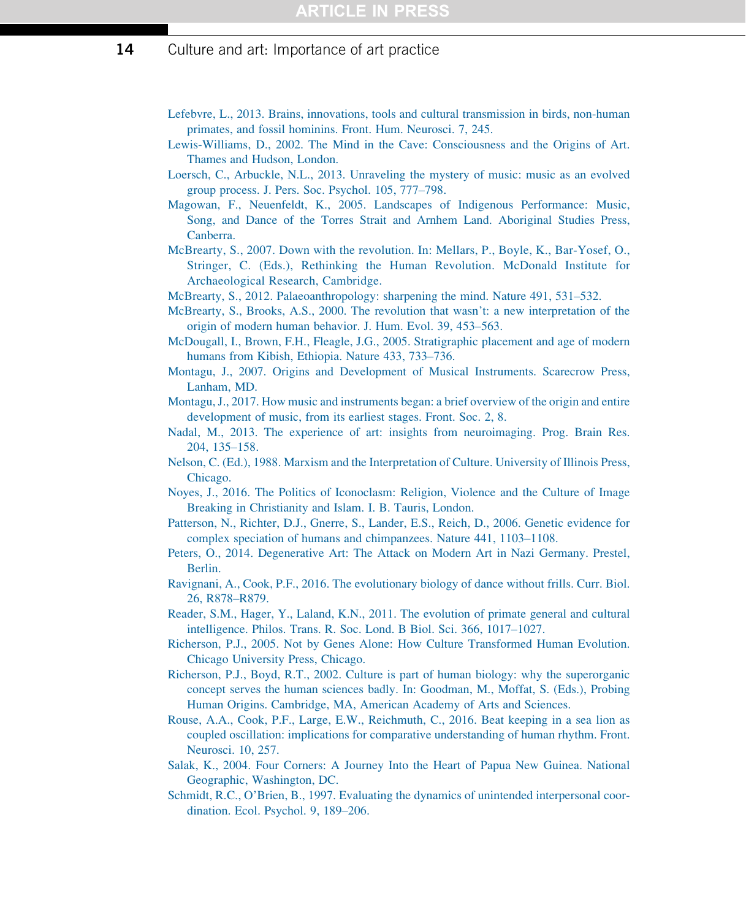<span id="page-13-0"></span>[Lefebvre, L., 2013. Brains, innovations, tools and cultural transmission in birds, non-human](http://refhub.elsevier.com/S0079-6123(18)30001-3/rf0250) [primates, and fossil hominins. Front. Hum. Neurosci. 7, 245.](http://refhub.elsevier.com/S0079-6123(18)30001-3/rf0250)

- [Lewis-Williams, D., 2002. The Mind in the Cave: Consciousness and the Origins of Art.](http://refhub.elsevier.com/S0079-6123(18)30001-3/rf0255) [Thames and Hudson, London.](http://refhub.elsevier.com/S0079-6123(18)30001-3/rf0255)
- [Loersch, C., Arbuckle, N.L., 2013. Unraveling the mystery of music: music as an evolved](http://refhub.elsevier.com/S0079-6123(18)30001-3/rf0260) [group process. J. Pers. Soc. Psychol. 105, 777](http://refhub.elsevier.com/S0079-6123(18)30001-3/rf0260)–798.
- [Magowan, F., Neuenfeldt, K., 2005. Landscapes of Indigenous Performance: Music,](http://refhub.elsevier.com/S0079-6123(18)30001-3/rf0265) [Song, and Dance of the Torres Strait and Arnhem Land. Aboriginal Studies Press,](http://refhub.elsevier.com/S0079-6123(18)30001-3/rf0265) [Canberra.](http://refhub.elsevier.com/S0079-6123(18)30001-3/rf0265)
- [McBrearty, S., 2007. Down with the revolution. In: Mellars, P., Boyle, K., Bar-Yosef, O.,](http://refhub.elsevier.com/S0079-6123(18)30001-3/rf0270) [Stringer, C. \(Eds.\), Rethinking the Human Revolution. McDonald Institute for](http://refhub.elsevier.com/S0079-6123(18)30001-3/rf0270) [Archaeological Research, Cambridge.](http://refhub.elsevier.com/S0079-6123(18)30001-3/rf0270)
- [McBrearty, S., 2012. Palaeoanthropology: sharpening the mind. Nature 491, 531](http://refhub.elsevier.com/S0079-6123(18)30001-3/rf0275)–532.
- [McBrearty, S., Brooks, A.S., 2000. The revolution that wasn't: a new interpretation of the](http://refhub.elsevier.com/S0079-6123(18)30001-3/rf0280) [origin of modern human behavior. J. Hum. Evol. 39, 453](http://refhub.elsevier.com/S0079-6123(18)30001-3/rf0280)–563.
- [McDougall, I., Brown, F.H., Fleagle, J.G., 2005. Stratigraphic placement and age of modern](http://refhub.elsevier.com/S0079-6123(18)30001-3/rf0285) [humans from Kibish, Ethiopia. Nature 433, 733](http://refhub.elsevier.com/S0079-6123(18)30001-3/rf0285)–736.
- [Montagu, J., 2007. Origins and Development of Musical Instruments. Scarecrow Press,](http://refhub.elsevier.com/S0079-6123(18)30001-3/rf0290) [Lanham, MD.](http://refhub.elsevier.com/S0079-6123(18)30001-3/rf0290)
- [Montagu, J., 2017. How music and instruments began: a brief overview of the origin and entire](http://refhub.elsevier.com/S0079-6123(18)30001-3/rf0295) [development of music, from its earliest stages. Front. Soc. 2, 8.](http://refhub.elsevier.com/S0079-6123(18)30001-3/rf0295)
- [Nadal, M., 2013. The experience of art: insights from neuroimaging. Prog. Brain Res.](http://refhub.elsevier.com/S0079-6123(18)30001-3/rf0300) [204, 135](http://refhub.elsevier.com/S0079-6123(18)30001-3/rf0300)–158.
- [Nelson, C. \(Ed.\), 1988. Marxism and the Interpretation of Culture. University of Illinois Press,](http://refhub.elsevier.com/S0079-6123(18)30001-3/rf0305) [Chicago.](http://refhub.elsevier.com/S0079-6123(18)30001-3/rf0305)
- [Noyes, J., 2016. The Politics of Iconoclasm: Religion, Violence and the Culture of Image](http://refhub.elsevier.com/S0079-6123(18)30001-3/rf0310) [Breaking in Christianity and Islam. I. B. Tauris, London.](http://refhub.elsevier.com/S0079-6123(18)30001-3/rf0310)
- [Patterson, N., Richter, D.J., Gnerre, S., Lander, E.S., Reich, D., 2006. Genetic evidence for](http://refhub.elsevier.com/S0079-6123(18)30001-3/rf0315) [complex speciation of humans and chimpanzees. Nature 441, 1103](http://refhub.elsevier.com/S0079-6123(18)30001-3/rf0315)–1108.
- [Peters, O., 2014. Degenerative Art: The Attack on Modern Art in Nazi Germany. Prestel,](http://refhub.elsevier.com/S0079-6123(18)30001-3/rf0320) [Berlin.](http://refhub.elsevier.com/S0079-6123(18)30001-3/rf0320)
- [Ravignani, A., Cook, P.F., 2016. The evolutionary biology of dance without frills. Curr. Biol.](http://refhub.elsevier.com/S0079-6123(18)30001-3/rf0325) [26, R878](http://refhub.elsevier.com/S0079-6123(18)30001-3/rf0325)–R879.
- [Reader, S.M., Hager, Y., Laland, K.N., 2011. The evolution of primate general and cultural](http://refhub.elsevier.com/S0079-6123(18)30001-3/rf0330) [intelligence. Philos. Trans. R. Soc. Lond. B Biol. Sci. 366, 1017](http://refhub.elsevier.com/S0079-6123(18)30001-3/rf0330)–1027.
- [Richerson, P.J., 2005. Not by Genes Alone: How Culture Transformed Human Evolution.](http://refhub.elsevier.com/S0079-6123(18)30001-3/rf0335) [Chicago University Press, Chicago.](http://refhub.elsevier.com/S0079-6123(18)30001-3/rf0335)
- [Richerson, P.J., Boyd, R.T., 2002. Culture is part of human biology: why the superorganic](http://refhub.elsevier.com/S0079-6123(18)30001-3/rf0340) [concept serves the human sciences badly. In: Goodman, M., Moffat, S. \(Eds.\), Probing](http://refhub.elsevier.com/S0079-6123(18)30001-3/rf0340) [Human Origins. Cambridge, MA, American Academy of Arts and Sciences.](http://refhub.elsevier.com/S0079-6123(18)30001-3/rf0340)
- [Rouse, A.A., Cook, P.F., Large, E.W., Reichmuth, C., 2016. Beat keeping in a sea lion as](http://refhub.elsevier.com/S0079-6123(18)30001-3/rf0345) [coupled oscillation: implications for comparative understanding of human rhythm. Front.](http://refhub.elsevier.com/S0079-6123(18)30001-3/rf0345) [Neurosci. 10, 257.](http://refhub.elsevier.com/S0079-6123(18)30001-3/rf0345)
- [Salak, K., 2004. Four Corners: A Journey Into the Heart of Papua New Guinea. National](http://refhub.elsevier.com/S0079-6123(18)30001-3/rf0350) [Geographic, Washington, DC.](http://refhub.elsevier.com/S0079-6123(18)30001-3/rf0350)
- [Schmidt, R.C., O'Brien, B., 1997. Evaluating the dynamics of unintended interpersonal coor](http://refhub.elsevier.com/S0079-6123(18)30001-3/rf0355)[dination. Ecol. Psychol. 9, 189](http://refhub.elsevier.com/S0079-6123(18)30001-3/rf0355)–206.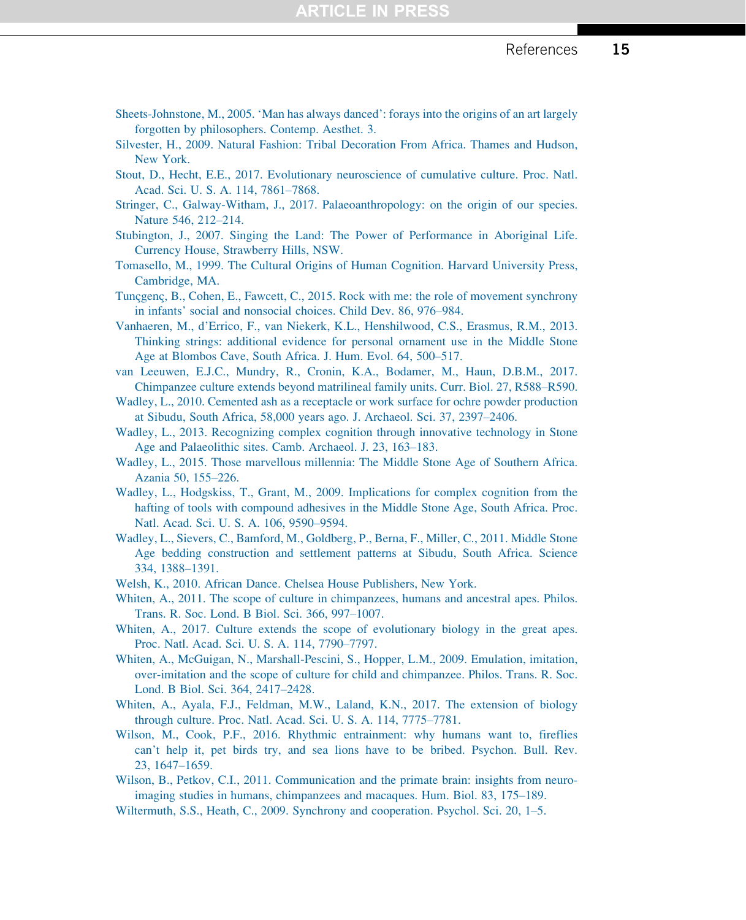- <span id="page-14-0"></span>[Sheets-Johnstone, M., 2005. 'Man has always danced': forays into the origins of an art largely](http://refhub.elsevier.com/S0079-6123(18)30001-3/rf0360) [forgotten by philosophers. Contemp. Aesthet. 3.](http://refhub.elsevier.com/S0079-6123(18)30001-3/rf0360)
- [Silvester, H., 2009. Natural Fashion: Tribal Decoration From Africa. Thames and Hudson,](http://refhub.elsevier.com/S0079-6123(18)30001-3/rf0365) [New York.](http://refhub.elsevier.com/S0079-6123(18)30001-3/rf0365)
- [Stout, D., Hecht, E.E., 2017. Evolutionary neuroscience of cumulative culture. Proc. Natl.](http://refhub.elsevier.com/S0079-6123(18)30001-3/rf0370) [Acad. Sci. U. S. A. 114, 7861](http://refhub.elsevier.com/S0079-6123(18)30001-3/rf0370)–7868.
- [Stringer, C., Galway-Witham, J., 2017. Palaeoanthropology: on the origin of our species.](http://refhub.elsevier.com/S0079-6123(18)30001-3/rf0375) [Nature 546, 212](http://refhub.elsevier.com/S0079-6123(18)30001-3/rf0375)–214.
- [Stubington, J., 2007. Singing the Land: The Power of Performance in Aboriginal Life.](http://refhub.elsevier.com/S0079-6123(18)30001-3/rf0380) [Currency House, Strawberry Hills, NSW.](http://refhub.elsevier.com/S0079-6123(18)30001-3/rf0380)
- [Tomasello, M., 1999. The Cultural Origins of Human Cognition. Harvard University Press,](http://refhub.elsevier.com/S0079-6123(18)30001-3/rf0385) [Cambridge, MA.](http://refhub.elsevier.com/S0079-6123(18)30001-3/rf0385)
- [Tun](http://refhub.elsevier.com/S0079-6123(18)30001-3/rf0390)c[gen](http://refhub.elsevier.com/S0079-6123(18)30001-3/rf0390)c[, B., Cohen, E., Fawcett, C., 2015. Rock with me: the role of movement synchrony](http://refhub.elsevier.com/S0079-6123(18)30001-3/rf0390) [in infants' social and nonsocial choices. Child Dev. 86, 976](http://refhub.elsevier.com/S0079-6123(18)30001-3/rf0390)–984.
- [Vanhaeren, M., d'Errico, F., van Niekerk, K.L., Henshilwood, C.S., Erasmus, R.M., 2013.](http://refhub.elsevier.com/S0079-6123(18)30001-3/rf0395) [Thinking strings: additional evidence for personal ornament use in the Middle Stone](http://refhub.elsevier.com/S0079-6123(18)30001-3/rf0395) [Age at Blombos Cave, South Africa. J. Hum. Evol. 64, 500](http://refhub.elsevier.com/S0079-6123(18)30001-3/rf0395)–517.
- [van Leeuwen, E.J.C., Mundry, R., Cronin, K.A., Bodamer, M., Haun, D.B.M., 2017.](http://refhub.elsevier.com/S0079-6123(18)30001-3/rf0400) [Chimpanzee culture extends beyond matrilineal family units. Curr. Biol. 27, R588](http://refhub.elsevier.com/S0079-6123(18)30001-3/rf0400)–R590.
- [Wadley, L., 2010. Cemented ash as a receptacle or work surface for ochre powder production](http://refhub.elsevier.com/S0079-6123(18)30001-3/rf0405) [at Sibudu, South Africa, 58,000 years ago. J. Archaeol. Sci. 37, 2397](http://refhub.elsevier.com/S0079-6123(18)30001-3/rf0405)–2406.
- [Wadley, L., 2013. Recognizing complex cognition through innovative technology in Stone](http://refhub.elsevier.com/S0079-6123(18)30001-3/rf0410) [Age and Palaeolithic sites. Camb. Archaeol. J. 23, 163](http://refhub.elsevier.com/S0079-6123(18)30001-3/rf0410)–183.
- [Wadley, L., 2015. Those marvellous millennia: The Middle Stone Age of Southern Africa.](http://refhub.elsevier.com/S0079-6123(18)30001-3/rf0415) [Azania 50, 155](http://refhub.elsevier.com/S0079-6123(18)30001-3/rf0415)–226.
- [Wadley, L., Hodgskiss, T., Grant, M., 2009. Implications for complex cognition from the](http://refhub.elsevier.com/S0079-6123(18)30001-3/rf0420) [hafting of tools with compound adhesives in the Middle Stone Age, South Africa. Proc.](http://refhub.elsevier.com/S0079-6123(18)30001-3/rf0420) [Natl. Acad. Sci. U. S. A. 106, 9590](http://refhub.elsevier.com/S0079-6123(18)30001-3/rf0420)–9594.
- [Wadley, L., Sievers, C., Bamford, M., Goldberg, P., Berna, F., Miller, C., 2011. Middle Stone](http://refhub.elsevier.com/S0079-6123(18)30001-3/rf0425) [Age bedding construction and settlement patterns at Sibudu, South Africa. Science](http://refhub.elsevier.com/S0079-6123(18)30001-3/rf0425) [334, 1388](http://refhub.elsevier.com/S0079-6123(18)30001-3/rf0425)–1391.
- [Welsh, K., 2010. African Dance. Chelsea House Publishers, New York.](http://refhub.elsevier.com/S0079-6123(18)30001-3/rf0430)
- [Whiten, A., 2011. The scope of culture in chimpanzees, humans and ancestral apes. Philos.](http://refhub.elsevier.com/S0079-6123(18)30001-3/rf0435) [Trans. R. Soc. Lond. B Biol. Sci. 366, 997](http://refhub.elsevier.com/S0079-6123(18)30001-3/rf0435)–1007.
- [Whiten, A., 2017. Culture extends the scope of evolutionary biology in the great apes.](http://refhub.elsevier.com/S0079-6123(18)30001-3/rf0440) [Proc. Natl. Acad. Sci. U. S. A. 114, 7790](http://refhub.elsevier.com/S0079-6123(18)30001-3/rf0440)–7797.
- [Whiten, A., McGuigan, N., Marshall-Pescini, S., Hopper, L.M., 2009. Emulation, imitation,](http://refhub.elsevier.com/S0079-6123(18)30001-3/rf0445) [over-imitation and the scope of culture for child and chimpanzee. Philos. Trans. R. Soc.](http://refhub.elsevier.com/S0079-6123(18)30001-3/rf0445) [Lond. B Biol. Sci. 364, 2417](http://refhub.elsevier.com/S0079-6123(18)30001-3/rf0445)–2428.
- [Whiten, A., Ayala, F.J., Feldman, M.W., Laland, K.N., 2017. The extension of biology](http://refhub.elsevier.com/S0079-6123(18)30001-3/rf0450) [through culture. Proc. Natl. Acad. Sci. U. S. A. 114, 7775](http://refhub.elsevier.com/S0079-6123(18)30001-3/rf0450)–7781.
- [Wilson, M., Cook, P.F., 2016. Rhythmic entrainment: why humans want to, fireflies](http://refhub.elsevier.com/S0079-6123(18)30001-3/rf0455) [can't help it, pet birds try, and sea lions have to be bribed. Psychon. Bull. Rev.](http://refhub.elsevier.com/S0079-6123(18)30001-3/rf0455) [23, 1647](http://refhub.elsevier.com/S0079-6123(18)30001-3/rf0455)–1659.
- [Wilson, B., Petkov, C.I., 2011. Communication and the primate brain: insights from neuro](http://refhub.elsevier.com/S0079-6123(18)30001-3/rf0460)[imaging studies in humans, chimpanzees and macaques. Hum. Biol. 83, 175](http://refhub.elsevier.com/S0079-6123(18)30001-3/rf0460)–189.
- [Wiltermuth, S.S., Heath, C., 2009. Synchrony and cooperation. Psychol. Sci. 20, 1](http://refhub.elsevier.com/S0079-6123(18)30001-3/rf0465)–5.